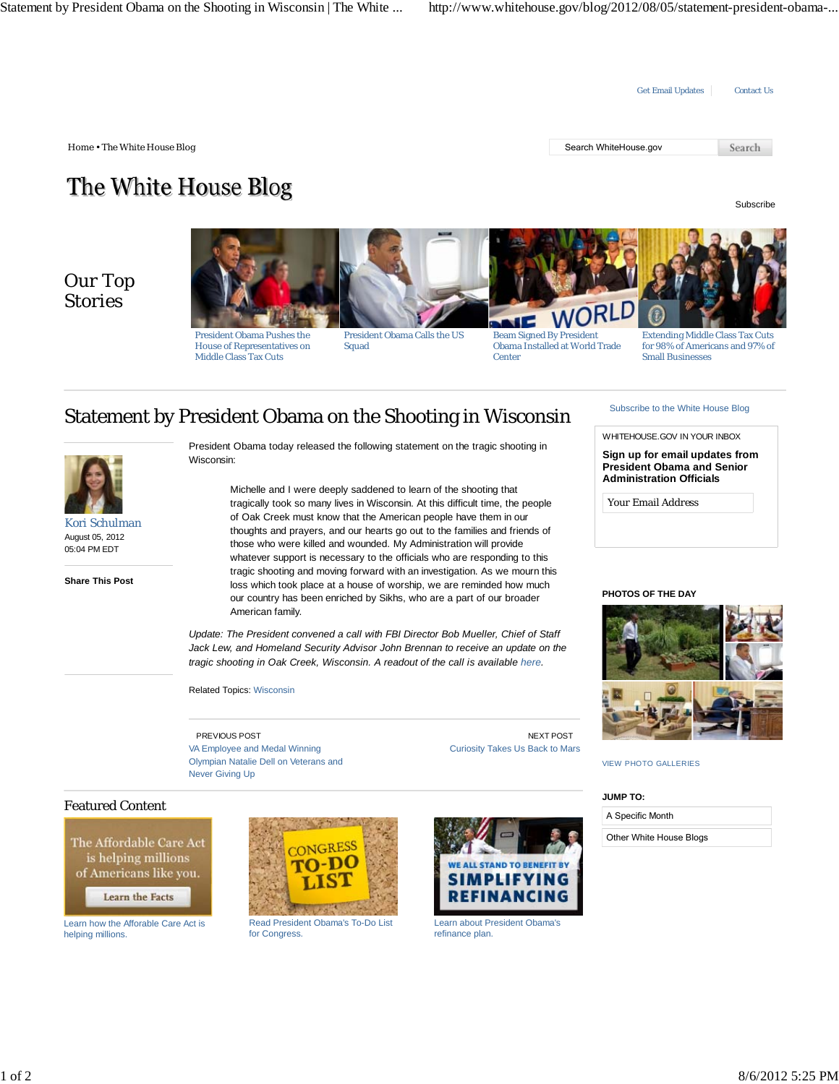

The White House Blog

Subscribe

## Our Top Stories



President Obama Pushes the House of Representatives on Middle Class Tax Cuts

President Obama Calls the US Squad

Beam Signed By President Obama Installed at World Trade **Center** 

Extending Middle Class Tax Cuts for 98% of Americans and 97% of Small Businesses

# Statement by President Obama on the Shooting in Wisconsin



Kori Schulman August 05, 2012 05:04 PM EDT

**Share This Post**

President Obama today released the following statement on the tragic shooting in Wisconsin:

> Michelle and I were deeply saddened to learn of the shooting that tragically took so many lives in Wisconsin. At this difficult time, the people of Oak Creek must know that the American people have them in our thoughts and prayers, and our hearts go out to the families and friends of those who were killed and wounded. My Administration will provide whatever support is necessary to the officials who are responding to this tragic shooting and moving forward with an investigation. As we mourn this loss which took place at a house of worship, we are reminded how much our country has been enriched by Sikhs, who are a part of our broader American family.

*Update: The President convened a call with FBI Director Bob Mueller, Chief of Staff Jack Lew, and Homeland Security Advisor John Brennan to receive an update on the tragic shooting in Oak Creek, Wisconsin. A readout of the call is available here.*

Related Topics: Wisconsin

PREVIOUS POST VA Employee and Medal Winning Olympian Natalie Dell on Veterans and Never Giving Up

NEXT POST Curiosity Takes Us Back to Mars

# Subscribe to the White House Blog

WHITEHOUSE.GOV IN YOUR INBOX

**Sign up for email updates from President Obama and Senior Administration Officials**

*Your Email Address*

### **PHOTOS OF THE DAY**



VIEW PHOTO GALLERIES

### **JUMP TO:**

| A Specific Month        |
|-------------------------|
| Other White House Blogs |

### Featured Content

The Affordable Care Act is helping millions of Americans like you.

Learn the Facts

Learn how the Afforable Care Act is helping millions.



Read President Obama's To-Do List for Congress.



Learn about President Obama's refinance plan.